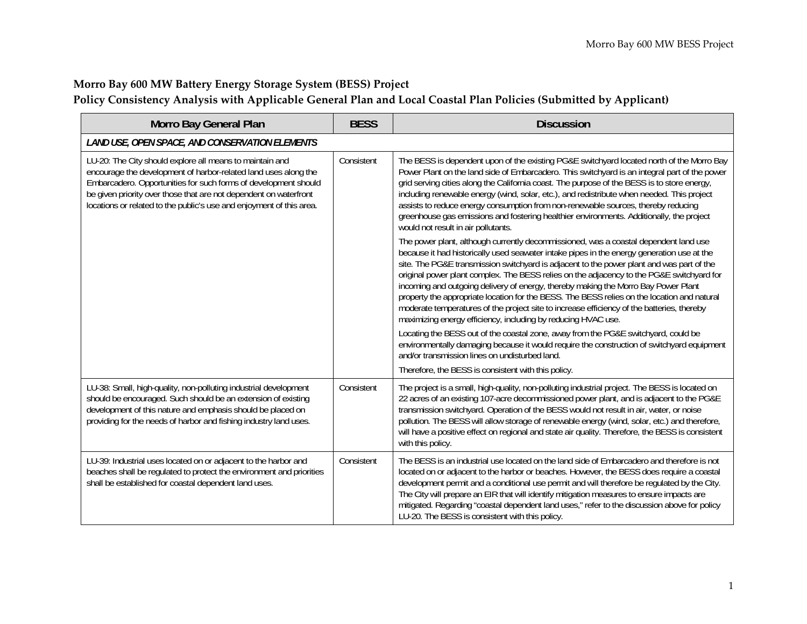## **Morro Bay <sup>600</sup> MW Battery Energy Storage System (BESS) Project Policy Consistency Analysis with Applicable General Plan and Local Coastal Plan Policies (Submitted by Applicant)**

| Morro Bay General Plan                                                                                                                                                                                                                                                                                                                      | <b>BESS</b> | <b>Discussion</b>                                                                                                                                                                                                                                                                                                                                                                                                                                                                                                                                                                                                                                                                                                                |  |  |
|---------------------------------------------------------------------------------------------------------------------------------------------------------------------------------------------------------------------------------------------------------------------------------------------------------------------------------------------|-------------|----------------------------------------------------------------------------------------------------------------------------------------------------------------------------------------------------------------------------------------------------------------------------------------------------------------------------------------------------------------------------------------------------------------------------------------------------------------------------------------------------------------------------------------------------------------------------------------------------------------------------------------------------------------------------------------------------------------------------------|--|--|
| LAND USE, OPEN SPACE, AND CONSERVATION ELEMENTS                                                                                                                                                                                                                                                                                             |             |                                                                                                                                                                                                                                                                                                                                                                                                                                                                                                                                                                                                                                                                                                                                  |  |  |
| LU-20: The City should explore all means to maintain and<br>encourage the development of harbor-related land uses along the<br>Embarcadero. Opportunities for such forms of development should<br>be given priority over those that are not dependent on waterfront<br>locations or related to the public's use and enjoyment of this area. | Consistent  | The BESS is dependent upon of the existing PG&E switchyard located north of the Morro Bay<br>Power Plant on the land side of Embarcadero. This switchyard is an integral part of the power<br>grid serving cities along the California coast. The purpose of the BESS is to store energy,<br>including renewable energy (wind, solar, etc.), and redistribute when needed. This project<br>assists to reduce energy consumption from non-renewable sources, thereby reducing<br>greenhouse gas emissions and fostering healthier environments. Additionally, the project<br>would not result in air pollutants.                                                                                                                  |  |  |
|                                                                                                                                                                                                                                                                                                                                             |             | The power plant, although currently decommissioned, was a coastal dependent land use<br>because it had historically used seawater intake pipes in the energy generation use at the<br>site. The PG&E transmission switchyard is adjacent to the power plant and was part of the<br>original power plant complex. The BESS relies on the adjacency to the PG&E switchyard for<br>incoming and outgoing delivery of energy, thereby making the Morro Bay Power Plant<br>property the appropriate location for the BESS. The BESS relies on the location and natural<br>moderate temperatures of the project site to increase efficiency of the batteries, thereby<br>maximizing energy efficiency, including by reducing HVAC use. |  |  |
|                                                                                                                                                                                                                                                                                                                                             |             | Locating the BESS out of the coastal zone, away from the PG&E switchyard, could be<br>environmentally damaging because it would require the construction of switchyard equipment<br>and/or transmission lines on undisturbed land.                                                                                                                                                                                                                                                                                                                                                                                                                                                                                               |  |  |
|                                                                                                                                                                                                                                                                                                                                             |             | Therefore, the BESS is consistent with this policy.                                                                                                                                                                                                                                                                                                                                                                                                                                                                                                                                                                                                                                                                              |  |  |
| LU-38: Small, high-quality, non-polluting industrial development<br>should be encouraged. Such should be an extension of existing<br>development of this nature and emphasis should be placed on<br>providing for the needs of harbor and fishing industry land uses.                                                                       | Consistent  | The project is a small, high-quality, non-polluting industrial project. The BESS is located on<br>22 acres of an existing 107-acre decommissioned power plant, and is adjacent to the PG&E<br>transmission switchyard. Operation of the BESS would not result in air, water, or noise<br>pollution. The BESS will allow storage of renewable energy (wind, solar, etc.) and therefore,<br>will have a positive effect on regional and state air quality. Therefore, the BESS is consistent<br>with this policy.                                                                                                                                                                                                                  |  |  |
| LU-39: Industrial uses located on or adjacent to the harbor and<br>beaches shall be regulated to protect the environment and priorities<br>shall be established for coastal dependent land uses.                                                                                                                                            | Consistent  | The BESS is an industrial use located on the land side of Embarcadero and therefore is not<br>located on or adjacent to the harbor or beaches. However, the BESS does require a coastal<br>development permit and a conditional use permit and will therefore be regulated by the City.<br>The City will prepare an EIR that will identify mitigation measures to ensure impacts are<br>mitigated. Regarding "coastal dependent land uses," refer to the discussion above for policy<br>LU-20. The BESS is consistent with this policy.                                                                                                                                                                                          |  |  |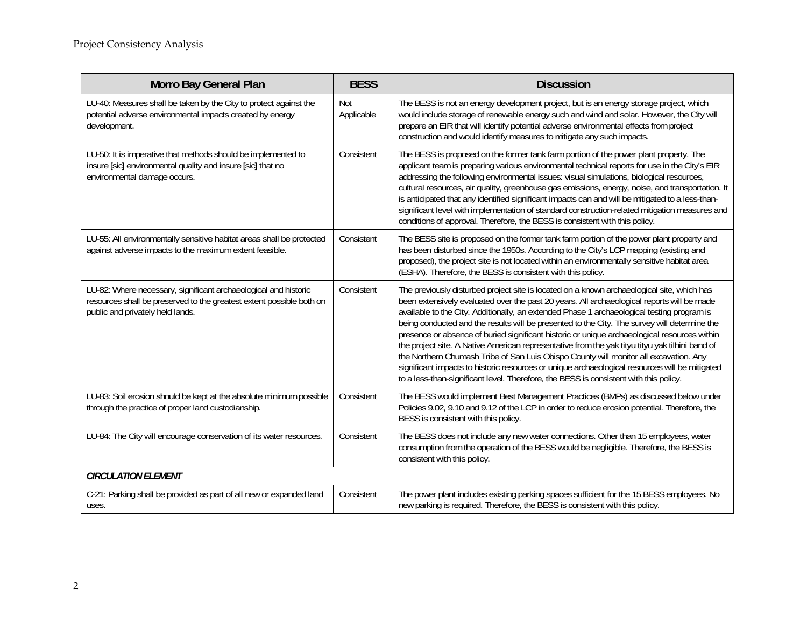| Morro Bay General Plan                                                                                                                                                      | <b>BESS</b>              | <b>Discussion</b>                                                                                                                                                                                                                                                                                                                                                                                                                                                                                                                                                                                                                                                                                                                                                                                                                                                             |  |
|-----------------------------------------------------------------------------------------------------------------------------------------------------------------------------|--------------------------|-------------------------------------------------------------------------------------------------------------------------------------------------------------------------------------------------------------------------------------------------------------------------------------------------------------------------------------------------------------------------------------------------------------------------------------------------------------------------------------------------------------------------------------------------------------------------------------------------------------------------------------------------------------------------------------------------------------------------------------------------------------------------------------------------------------------------------------------------------------------------------|--|
| LU-40: Measures shall be taken by the City to protect against the<br>potential adverse environmental impacts created by energy<br>development.                              | <b>Not</b><br>Applicable | The BESS is not an energy development project, but is an energy storage project, which<br>would include storage of renewable energy such and wind and solar. However, the City will<br>prepare an EIR that will identify potential adverse environmental effects from project<br>construction and would identify measures to mitigate any such impacts.                                                                                                                                                                                                                                                                                                                                                                                                                                                                                                                       |  |
| LU-50: It is imperative that methods should be implemented to<br>insure [sic] environmental quality and insure [sic] that no<br>environmental damage occurs.                | Consistent               | The BESS is proposed on the former tank farm portion of the power plant property. The<br>applicant team is preparing various environmental technical reports for use in the City's EIR<br>addressing the following environmental issues: visual simulations, biological resources,<br>cultural resources, air quality, greenhouse gas emissions, energy, noise, and transportation. It<br>is anticipated that any identified significant impacts can and will be mitigated to a less-than-<br>significant level with implementation of standard construction-related mitigation measures and<br>conditions of approval. Therefore, the BESS is consistent with this policy.                                                                                                                                                                                                   |  |
| LU-55: All environmentally sensitive habitat areas shall be protected<br>against adverse impacts to the maximum extent feasible.                                            | Consistent               | The BESS site is proposed on the former tank farm portion of the power plant property and<br>has been disturbed since the 1950s. According to the City's LCP mapping (existing and<br>proposed), the project site is not located within an environmentally sensitive habitat area<br>(ESHA). Therefore, the BESS is consistent with this policy.                                                                                                                                                                                                                                                                                                                                                                                                                                                                                                                              |  |
| LU-82: Where necessary, significant archaeological and historic<br>resources shall be preserved to the greatest extent possible both on<br>public and privately held lands. | Consistent               | The previously disturbed project site is located on a known archaeological site, which has<br>been extensively evaluated over the past 20 years. All archaeological reports will be made<br>available to the City. Additionally, an extended Phase 1 archaeological testing program is<br>being conducted and the results will be presented to the City. The survey will determine the<br>presence or absence of buried significant historic or unique archaeological resources within<br>the project site. A Native American representative from the yak tityu tityu yak tilhini band of<br>the Northern Chumash Tribe of San Luis Obispo County will monitor all excavation. Any<br>significant impacts to historic resources or unique archaeological resources will be mitigated<br>to a less-than-significant level. Therefore, the BESS is consistent with this policy. |  |
| LU-83: Soil erosion should be kept at the absolute minimum possible<br>through the practice of proper land custodianship.                                                   | Consistent               | The BESS would implement Best Management Practices (BMPs) as discussed below under<br>Policies 9.02, 9.10 and 9.12 of the LCP in order to reduce erosion potential. Therefore, the<br>BESS is consistent with this policy.                                                                                                                                                                                                                                                                                                                                                                                                                                                                                                                                                                                                                                                    |  |
| LU-84: The City will encourage conservation of its water resources.                                                                                                         | Consistent               | The BESS does not include any new water connections. Other than 15 employees, water<br>consumption from the operation of the BESS would be negligible. Therefore, the BESS is<br>consistent with this policy.                                                                                                                                                                                                                                                                                                                                                                                                                                                                                                                                                                                                                                                                 |  |
| <b>CIRCULATION ELEMENT</b>                                                                                                                                                  |                          |                                                                                                                                                                                                                                                                                                                                                                                                                                                                                                                                                                                                                                                                                                                                                                                                                                                                               |  |
| C-21: Parking shall be provided as part of all new or expanded land<br>uses.                                                                                                | Consistent               | The power plant includes existing parking spaces sufficient for the 15 BESS employees. No<br>new parking is required. Therefore, the BESS is consistent with this policy.                                                                                                                                                                                                                                                                                                                                                                                                                                                                                                                                                                                                                                                                                                     |  |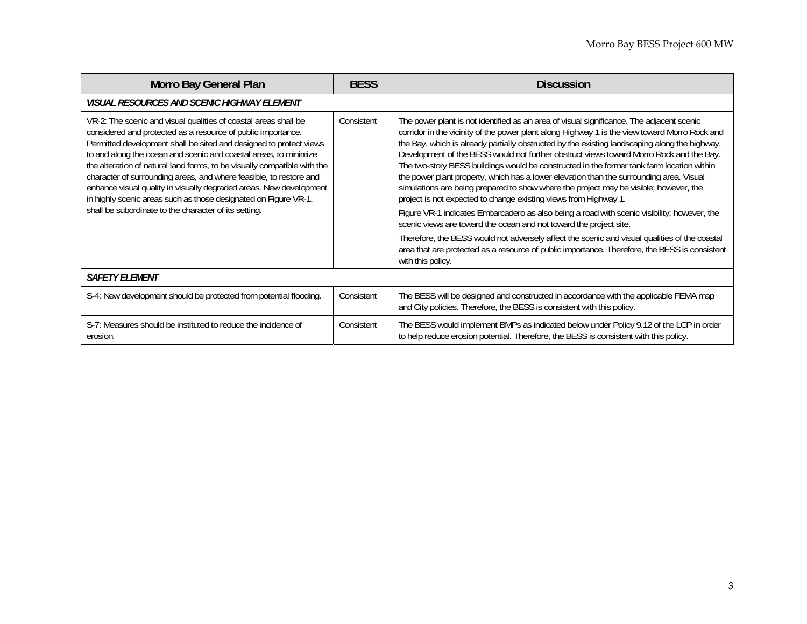| <b>Morro Bay General Plan</b>                                                                                                                                                                                                                                                                                                                                                                                                                                                                                                                                                                                                 | <b>BESS</b> | <b>Discussion</b>                                                                                                                                                                                                                                                                                                                                                                                                                                                                                                                                                                                                                                                                                                                                                                                                                                                                                                                                                                                                                                                                                                                      |  |  |
|-------------------------------------------------------------------------------------------------------------------------------------------------------------------------------------------------------------------------------------------------------------------------------------------------------------------------------------------------------------------------------------------------------------------------------------------------------------------------------------------------------------------------------------------------------------------------------------------------------------------------------|-------------|----------------------------------------------------------------------------------------------------------------------------------------------------------------------------------------------------------------------------------------------------------------------------------------------------------------------------------------------------------------------------------------------------------------------------------------------------------------------------------------------------------------------------------------------------------------------------------------------------------------------------------------------------------------------------------------------------------------------------------------------------------------------------------------------------------------------------------------------------------------------------------------------------------------------------------------------------------------------------------------------------------------------------------------------------------------------------------------------------------------------------------------|--|--|
| <i>VISUAL RESOURCES AND SCENIC HIGHWAY ELEMENT</i>                                                                                                                                                                                                                                                                                                                                                                                                                                                                                                                                                                            |             |                                                                                                                                                                                                                                                                                                                                                                                                                                                                                                                                                                                                                                                                                                                                                                                                                                                                                                                                                                                                                                                                                                                                        |  |  |
| VR-2: The scenic and visual qualities of coastal areas shall be<br>considered and protected as a resource of public importance.<br>Permitted development shall be sited and designed to protect views<br>to and along the ocean and scenic and coastal areas, to minimize<br>the alteration of natural land forms, to be visually compatible with the<br>character of surrounding areas, and where feasible, to restore and<br>enhance visual quality in visually degraded areas. New development<br>in highly scenic areas such as those designated on Figure VR-1,<br>shall be subordinate to the character of its setting. | Consistent  | The power plant is not identified as an area of visual significance. The adjacent scenic<br>corridor in the vicinity of the power plant along Highway 1 is the view toward Morro Rock and<br>the Bay, which is already partially obstructed by the existing landscaping along the highway.<br>Development of the BESS would not further obstruct views toward Morro Rock and the Bay.<br>The two-story BESS buildings would be constructed in the former tank farm location within<br>the power plant property, which has a lower elevation than the surrounding area. Visual<br>simulations are being prepared to show where the project may be visible; however, the<br>project is not expected to change existing views from Highway 1.<br>Figure VR-1 indicates Embarcadero as also being a road with scenic visibility; however, the<br>scenic views are toward the ocean and not toward the project site.<br>Therefore, the BESS would not adversely affect the scenic and visual qualities of the coastal<br>area that are protected as a resource of public importance. Therefore, the BESS is consistent<br>with this policy. |  |  |
| <b>SAFETY ELEMENT</b>                                                                                                                                                                                                                                                                                                                                                                                                                                                                                                                                                                                                         |             |                                                                                                                                                                                                                                                                                                                                                                                                                                                                                                                                                                                                                                                                                                                                                                                                                                                                                                                                                                                                                                                                                                                                        |  |  |
| S-4: New development should be protected from potential flooding.                                                                                                                                                                                                                                                                                                                                                                                                                                                                                                                                                             | Consistent  | The BESS will be designed and constructed in accordance with the applicable FEMA map<br>and City policies. Therefore, the BESS is consistent with this policy.                                                                                                                                                                                                                                                                                                                                                                                                                                                                                                                                                                                                                                                                                                                                                                                                                                                                                                                                                                         |  |  |
| S-7: Measures should be instituted to reduce the incidence of<br>erosion.                                                                                                                                                                                                                                                                                                                                                                                                                                                                                                                                                     | Consistent  | The BESS would implement BMPs as indicated below under Policy 9.12 of the LCP in order<br>to help reduce erosion potential. Therefore, the BESS is consistent with this policy.                                                                                                                                                                                                                                                                                                                                                                                                                                                                                                                                                                                                                                                                                                                                                                                                                                                                                                                                                        |  |  |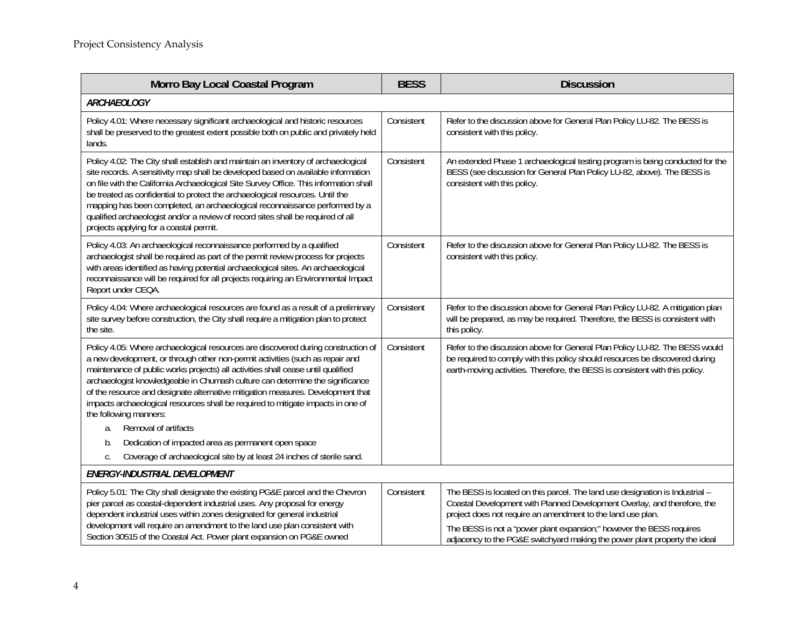| Morro Bay Local Coastal Program                                                                                                                                                                                                                                                                                                                                                                                                                                                                                                                                | <b>BESS</b> | <b>Discussion</b>                                                                                                                                                                                                                           |
|----------------------------------------------------------------------------------------------------------------------------------------------------------------------------------------------------------------------------------------------------------------------------------------------------------------------------------------------------------------------------------------------------------------------------------------------------------------------------------------------------------------------------------------------------------------|-------------|---------------------------------------------------------------------------------------------------------------------------------------------------------------------------------------------------------------------------------------------|
| <b>ARCHAEOLOGY</b>                                                                                                                                                                                                                                                                                                                                                                                                                                                                                                                                             |             |                                                                                                                                                                                                                                             |
| Policy 4.01: Where necessary significant archaeological and historic resources<br>shall be preserved to the greatest extent possible both on public and privately held<br>lands.                                                                                                                                                                                                                                                                                                                                                                               | Consistent  | Refer to the discussion above for General Plan Policy LU-82. The BESS is<br>consistent with this policy.                                                                                                                                    |
| Policy 4.02: The City shall establish and maintain an inventory of archaeological<br>site records. A sensitivity map shall be developed based on available information<br>on file with the California Archaeological Site Survey Office. This information shall<br>be treated as confidential to protect the archaeological resources. Until the<br>mapping has been completed, an archaeological reconnaissance performed by a<br>qualified archaeologist and/or a review of record sites shall be required of all<br>projects applying for a coastal permit. | Consistent  | An extended Phase 1 archaeological testing program is being conducted for the<br>BESS (see discussion for General Plan Policy LU-82, above). The BESS is<br>consistent with this policy.                                                    |
| Policy 4.03: An archaeological reconnaissance performed by a qualified<br>archaeologist shall be required as part of the permit review process for projects<br>with areas identified as having potential archaeological sites. An archaeological<br>reconnaissance will be required for all projects requiring an Environmental Impact<br>Report under CEQA.                                                                                                                                                                                                   | Consistent  | Refer to the discussion above for General Plan Policy LU-82. The BESS is<br>consistent with this policy.                                                                                                                                    |
| Policy 4.04: Where archaeological resources are found as a result of a preliminary<br>site survey before construction, the City shall require a mitigation plan to protect<br>the site.                                                                                                                                                                                                                                                                                                                                                                        | Consistent  | Refer to the discussion above for General Plan Policy LU-82. A mitigation plan<br>will be prepared, as may be required. Therefore, the BESS is consistent with<br>this policy.                                                              |
| Policy 4.05: Where archaeological resources are discovered during construction of<br>a new development, or through other non-permit activities (such as repair and<br>maintenance of public works projects) all activities shall cease until qualified<br>archaeologist knowledgeable in Chumash culture can determine the significance<br>of the resource and designate alternative mitigation measures. Development that<br>impacts archaeological resources shall be required to mitigate impacts in one of<br>the following manners:                       | Consistent  | Refer to the discussion above for General Plan Policy LU-82. The BESS would<br>be required to comply with this policy should resources be discovered during<br>earth-moving activities. Therefore, the BESS is consistent with this policy. |
| Removal of artifacts<br>a.                                                                                                                                                                                                                                                                                                                                                                                                                                                                                                                                     |             |                                                                                                                                                                                                                                             |
| Dedication of impacted area as permanent open space<br>b.                                                                                                                                                                                                                                                                                                                                                                                                                                                                                                      |             |                                                                                                                                                                                                                                             |
| Coverage of archaeological site by at least 24 inches of sterile sand.<br>C.                                                                                                                                                                                                                                                                                                                                                                                                                                                                                   |             |                                                                                                                                                                                                                                             |
| ENERGY-INDUSTRIAL DEVELOPMENT                                                                                                                                                                                                                                                                                                                                                                                                                                                                                                                                  |             |                                                                                                                                                                                                                                             |
| Policy 5.01: The City shall designate the existing PG&E parcel and the Chevron<br>pier parcel as coastal-dependent industrial uses. Any proposal for energy<br>dependent industrial uses within zones designated for general industrial                                                                                                                                                                                                                                                                                                                        | Consistent  | The BESS is located on this parcel. The land use designation is Industrial -<br>Coastal Development with Planned Development Overlay, and therefore, the<br>project does not require an amendment to the land use plan.                     |
| development will require an amendment to the land use plan consistent with<br>Section 30515 of the Coastal Act. Power plant expansion on PG&E owned                                                                                                                                                                                                                                                                                                                                                                                                            |             | The BESS is not a "power plant expansion;" however the BESS requires<br>adjacency to the PG&E switchyard making the power plant property the ideal                                                                                          |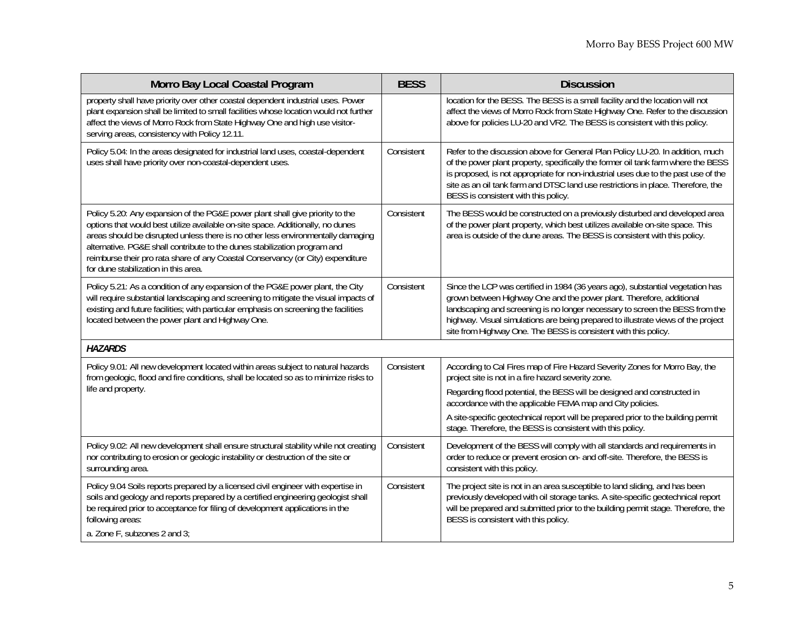| Morro Bay Local Coastal Program                                                                                                                                                                                                                                                                                                                                                                                                                              | <b>BESS</b> | <b>Discussion</b>                                                                                                                                                                                                                                                                                                                                                                                                              |
|--------------------------------------------------------------------------------------------------------------------------------------------------------------------------------------------------------------------------------------------------------------------------------------------------------------------------------------------------------------------------------------------------------------------------------------------------------------|-------------|--------------------------------------------------------------------------------------------------------------------------------------------------------------------------------------------------------------------------------------------------------------------------------------------------------------------------------------------------------------------------------------------------------------------------------|
| property shall have priority over other coastal dependent industrial uses. Power<br>plant expansion shall be limited to small facilities whose location would not further<br>affect the views of Morro Rock from State Highway One and high use visitor-<br>serving areas, consistency with Policy 12.11.                                                                                                                                                    |             | location for the BESS. The BESS is a small facility and the location will not<br>affect the views of Morro Rock from State Highway One. Refer to the discussion<br>above for policies LU-20 and VR2. The BESS is consistent with this policy.                                                                                                                                                                                  |
| Policy 5.04: In the areas designated for industrial land uses, coastal-dependent<br>uses shall have priority over non-coastal-dependent uses.                                                                                                                                                                                                                                                                                                                | Consistent  | Refer to the discussion above for General Plan Policy LU-20. In addition, much<br>of the power plant property, specifically the former oil tank farm where the BESS<br>is proposed, is not appropriate for non-industrial uses due to the past use of the<br>site as an oil tank farm and DTSC land use restrictions in place. Therefore, the<br>BESS is consistent with this policy.                                          |
| Policy 5.20: Any expansion of the PG&E power plant shall give priority to the<br>options that would best utilize available on-site space. Additionally, no dunes<br>areas should be disrupted unless there is no other less environmentally damaging<br>alternative. PG&E shall contribute to the dunes stabilization program and<br>reimburse their pro rata share of any Coastal Conservancy (or City) expenditure<br>for dune stabilization in this area. | Consistent  | The BESS would be constructed on a previously disturbed and developed area<br>of the power plant property, which best utilizes available on-site space. This<br>area is outside of the dune areas. The BESS is consistent with this policy.                                                                                                                                                                                    |
| Policy 5.21: As a condition of any expansion of the PG&E power plant, the City<br>will require substantial landscaping and screening to mitigate the visual impacts of<br>existing and future facilities; with particular emphasis on screening the facilities<br>located between the power plant and Highway One.                                                                                                                                           | Consistent  | Since the LCP was certified in 1984 (36 years ago), substantial vegetation has<br>grown between Highway One and the power plant. Therefore, additional<br>landscaping and screening is no longer necessary to screen the BESS from the<br>highway. Visual simulations are being prepared to illustrate views of the project<br>site from Highway One. The BESS is consistent with this policy.                                 |
| <b>HAZARDS</b>                                                                                                                                                                                                                                                                                                                                                                                                                                               |             |                                                                                                                                                                                                                                                                                                                                                                                                                                |
| Policy 9.01: All new development located within areas subject to natural hazards<br>from geologic, flood and fire conditions, shall be located so as to minimize risks to<br>life and property.                                                                                                                                                                                                                                                              | Consistent  | According to Cal Fires map of Fire Hazard Severity Zones for Morro Bay, the<br>project site is not in a fire hazard severity zone.<br>Regarding flood potential, the BESS will be designed and constructed in<br>accordance with the applicable FEMA map and City policies.<br>A site-specific geotechnical report will be prepared prior to the building permit<br>stage. Therefore, the BESS is consistent with this policy. |
| Policy 9.02: All new development shall ensure structural stability while not creating<br>nor contributing to erosion or geologic instability or destruction of the site or<br>surrounding area.                                                                                                                                                                                                                                                              | Consistent  | Development of the BESS will comply with all standards and requirements in<br>order to reduce or prevent erosion on- and off-site. Therefore, the BESS is<br>consistent with this policy.                                                                                                                                                                                                                                      |
| Policy 9.04 Soils reports prepared by a licensed civil engineer with expertise in<br>soils and geology and reports prepared by a certified engineering geologist shall<br>be required prior to acceptance for filing of development applications in the<br>following areas:<br>a. Zone F, subzones 2 and 3;                                                                                                                                                  | Consistent  | The project site is not in an area susceptible to land sliding, and has been<br>previously developed with oil storage tanks. A site-specific geotechnical report<br>will be prepared and submitted prior to the building permit stage. Therefore, the<br>BESS is consistent with this policy.                                                                                                                                  |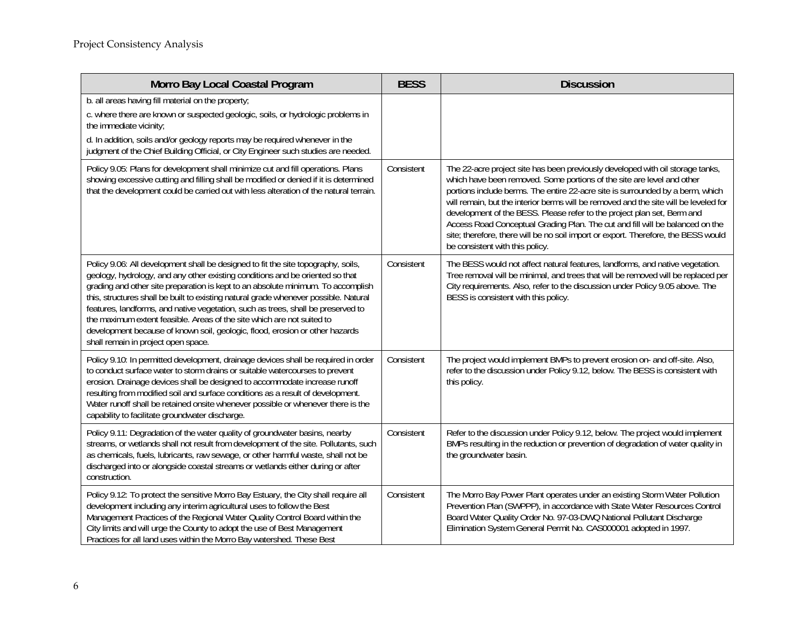| Morro Bay Local Coastal Program                                                                                                                                                                                                                                                                                                                                                                                                                                                                                                                                                                                                     | <b>BESS</b> | <b>Discussion</b>                                                                                                                                                                                                                                                                                                                                                                                                                                                                                                                                                                                                       |
|-------------------------------------------------------------------------------------------------------------------------------------------------------------------------------------------------------------------------------------------------------------------------------------------------------------------------------------------------------------------------------------------------------------------------------------------------------------------------------------------------------------------------------------------------------------------------------------------------------------------------------------|-------------|-------------------------------------------------------------------------------------------------------------------------------------------------------------------------------------------------------------------------------------------------------------------------------------------------------------------------------------------------------------------------------------------------------------------------------------------------------------------------------------------------------------------------------------------------------------------------------------------------------------------------|
| b. all areas having fill material on the property;<br>c. where there are known or suspected geologic, soils, or hydrologic problems in<br>the immediate vicinity;<br>d. In addition, soils and/or geology reports may be required whenever in the                                                                                                                                                                                                                                                                                                                                                                                   |             |                                                                                                                                                                                                                                                                                                                                                                                                                                                                                                                                                                                                                         |
| judgment of the Chief Building Official, or City Engineer such studies are needed.                                                                                                                                                                                                                                                                                                                                                                                                                                                                                                                                                  |             |                                                                                                                                                                                                                                                                                                                                                                                                                                                                                                                                                                                                                         |
| Policy 9.05: Plans for development shall minimize cut and fill operations. Plans<br>showing excessive cutting and filling shall be modified or denied if it is determined<br>that the development could be carried out with less alteration of the natural terrain.                                                                                                                                                                                                                                                                                                                                                                 | Consistent  | The 22-acre project site has been previously developed with oil storage tanks,<br>which have been removed. Some portions of the site are level and other<br>portions include berms. The entire 22-acre site is surrounded by a berm, which<br>will remain, but the interior berms will be removed and the site will be leveled for<br>development of the BESS. Please refer to the project plan set, Berm and<br>Access Road Conceptual Grading Plan. The cut and fill will be balanced on the<br>site; therefore, there will be no soil import or export. Therefore, the BESS would<br>be consistent with this policy. |
| Policy 9.06: All development shall be designed to fit the site topography, soils,<br>geology, hydrology, and any other existing conditions and be oriented so that<br>grading and other site preparation is kept to an absolute minimum. To accomplish<br>this, structures shall be built to existing natural grade whenever possible. Natural<br>features, landforms, and native vegetation, such as trees, shall be preserved to<br>the maximum extent feasible. Areas of the site which are not suited to<br>development because of known soil, geologic, flood, erosion or other hazards<br>shall remain in project open space. | Consistent  | The BESS would not affect natural features, landforms, and native vegetation.<br>Tree removal will be minimal, and trees that will be removed will be replaced per<br>City requirements. Also, refer to the discussion under Policy 9.05 above. The<br>BESS is consistent with this policy.                                                                                                                                                                                                                                                                                                                             |
| Policy 9.10: In permitted development, drainage devices shall be required in order<br>to conduct surface water to storm drains or suitable watercourses to prevent<br>erosion. Drainage devices shall be designed to accommodate increase runoff<br>resulting from modified soil and surface conditions as a result of development.<br>Water runoff shall be retained onsite whenever possible or whenever there is the<br>capability to facilitate groundwater discharge.                                                                                                                                                          | Consistent  | The project would implement BMPs to prevent erosion on- and off-site. Also,<br>refer to the discussion under Policy 9.12, below. The BESS is consistent with<br>this policy.                                                                                                                                                                                                                                                                                                                                                                                                                                            |
| Policy 9.11: Degradation of the water quality of groundwater basins, nearby<br>streams, or wetlands shall not result from development of the site. Pollutants, such<br>as chemicals, fuels, lubricants, raw sewage, or other harmful waste, shall not be<br>discharged into or alongside coastal streams or wetlands either during or after<br>construction.                                                                                                                                                                                                                                                                        | Consistent  | Refer to the discussion under Policy 9.12, below. The project would implement<br>BMPs resulting in the reduction or prevention of degradation of water quality in<br>the groundwater basin.                                                                                                                                                                                                                                                                                                                                                                                                                             |
| Policy 9.12: To protect the sensitive Morro Bay Estuary, the City shall require all<br>development including any interim agricultural uses to follow the Best<br>Management Practices of the Regional Water Quality Control Board within the<br>City limits and will urge the County to adopt the use of Best Management<br>Practices for all land uses within the Morro Bay watershed. These Best                                                                                                                                                                                                                                  | Consistent  | The Morro Bay Power Plant operates under an existing Storm Water Pollution<br>Prevention Plan (SWPPP), in accordance with State Water Resources Control<br>Board Water Quality Order No. 97-03-DWQ National Pollutant Discharge<br>Elimination System General Permit No. CAS000001 adopted in 1997.                                                                                                                                                                                                                                                                                                                     |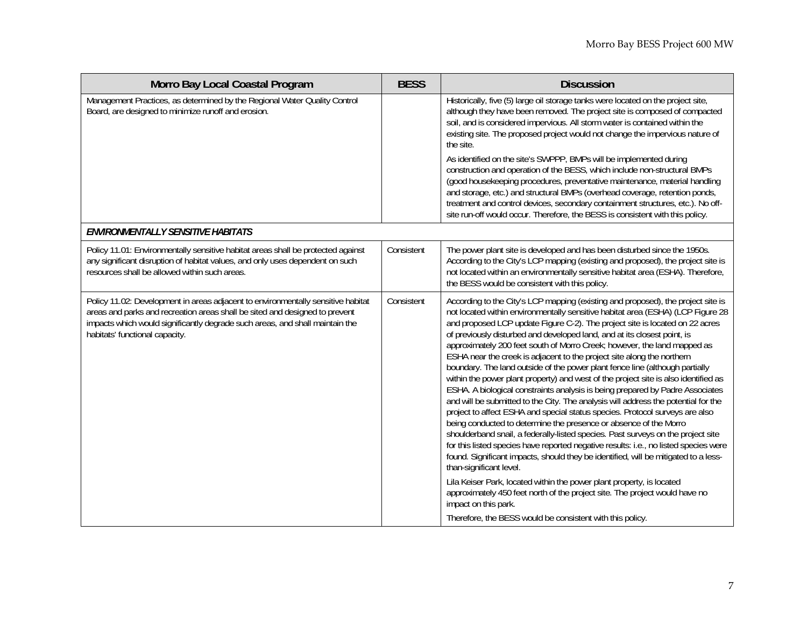| Morro Bay Local Coastal Program                                                                                                                                                                                                                                                   | <b>BESS</b> | <b>Discussion</b>                                                                                                                                                                                                                                                                                                                                                                                                                                                                                                                                                                                                                                                                                                                                                                                                                                                                                                                                                                                                                                                                                                                                                                                                                                                                                                                                                                                                                                                                                                                   |
|-----------------------------------------------------------------------------------------------------------------------------------------------------------------------------------------------------------------------------------------------------------------------------------|-------------|-------------------------------------------------------------------------------------------------------------------------------------------------------------------------------------------------------------------------------------------------------------------------------------------------------------------------------------------------------------------------------------------------------------------------------------------------------------------------------------------------------------------------------------------------------------------------------------------------------------------------------------------------------------------------------------------------------------------------------------------------------------------------------------------------------------------------------------------------------------------------------------------------------------------------------------------------------------------------------------------------------------------------------------------------------------------------------------------------------------------------------------------------------------------------------------------------------------------------------------------------------------------------------------------------------------------------------------------------------------------------------------------------------------------------------------------------------------------------------------------------------------------------------------|
| Management Practices, as determined by the Regional Water Quality Control<br>Board, are designed to minimize runoff and erosion.                                                                                                                                                  |             | Historically, five (5) large oil storage tanks were located on the project site,<br>although they have been removed. The project site is composed of compacted<br>soil, and is considered impervious. All storm water is contained within the<br>existing site. The proposed project would not change the impervious nature of<br>the site.<br>As identified on the site's SWPPP, BMPs will be implemented during<br>construction and operation of the BESS, which include non-structural BMPs<br>(good housekeeping procedures, preventative maintenance, material handling<br>and storage, etc.) and structural BMPs (overhead coverage, retention ponds,<br>treatment and control devices, secondary containment structures, etc.). No off-                                                                                                                                                                                                                                                                                                                                                                                                                                                                                                                                                                                                                                                                                                                                                                                      |
|                                                                                                                                                                                                                                                                                   |             | site run-off would occur. Therefore, the BESS is consistent with this policy.                                                                                                                                                                                                                                                                                                                                                                                                                                                                                                                                                                                                                                                                                                                                                                                                                                                                                                                                                                                                                                                                                                                                                                                                                                                                                                                                                                                                                                                       |
| <b>ENVIRONMENTALLY SENSITIVE HABITATS</b>                                                                                                                                                                                                                                         |             |                                                                                                                                                                                                                                                                                                                                                                                                                                                                                                                                                                                                                                                                                                                                                                                                                                                                                                                                                                                                                                                                                                                                                                                                                                                                                                                                                                                                                                                                                                                                     |
| Policy 11.01: Environmentally sensitive habitat areas shall be protected against<br>any significant disruption of habitat values, and only uses dependent on such<br>resources shall be allowed within such areas.                                                                | Consistent  | The power plant site is developed and has been disturbed since the 1950s.<br>According to the City's LCP mapping (existing and proposed), the project site is<br>not located within an environmentally sensitive habitat area (ESHA). Therefore,<br>the BESS would be consistent with this policy.                                                                                                                                                                                                                                                                                                                                                                                                                                                                                                                                                                                                                                                                                                                                                                                                                                                                                                                                                                                                                                                                                                                                                                                                                                  |
| Policy 11.02: Development in areas adjacent to environmentally sensitive habitat<br>areas and parks and recreation areas shall be sited and designed to prevent<br>impacts which would significantly degrade such areas, and shall maintain the<br>habitats' functional capacity. | Consistent  | According to the City's LCP mapping (existing and proposed), the project site is<br>not located within environmentally sensitive habitat area (ESHA) (LCP Figure 28<br>and proposed LCP update Figure C-2). The project site is located on 22 acres<br>of previously disturbed and developed land, and at its closest point, is<br>approximately 200 feet south of Morro Creek; however, the land mapped as<br>ESHA near the creek is adjacent to the project site along the northern<br>boundary. The land outside of the power plant fence line (although partially<br>within the power plant property) and west of the project site is also identified as<br>ESHA. A biological constraints analysis is being prepared by Padre Associates<br>and will be submitted to the City. The analysis will address the potential for the<br>project to affect ESHA and special status species. Protocol surveys are also<br>being conducted to determine the presence or absence of the Morro<br>shoulderband snail, a federally-listed species. Past surveys on the project site<br>for this listed species have reported negative results: i.e., no listed species were<br>found. Significant impacts, should they be identified, will be mitigated to a less-<br>than-significant level.<br>Lila Keiser Park, located within the power plant property, is located<br>approximately 450 feet north of the project site. The project would have no<br>impact on this park.<br>Therefore, the BESS would be consistent with this policy. |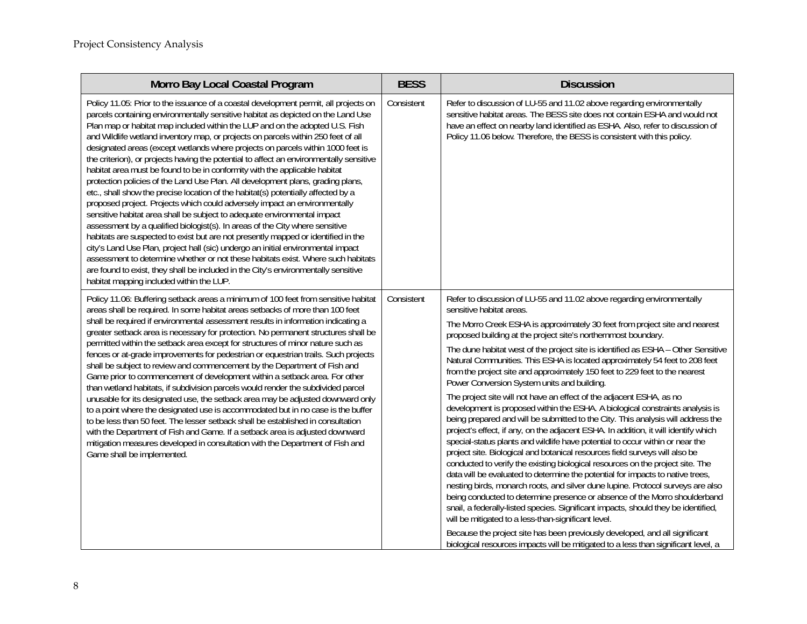| Morro Bay Local Coastal Program                                                                                                                                                                                                                                                                                                                                                                                                                                                                                                                                                                                                                                                                                                                                                                                                                                                                                                                                                                                                                                                                                                                                                                                                                                                                                                                                                                                            | <b>BESS</b> | <b>Discussion</b>                                                                                                                                                                                                                                                                                                                                                                                                                                                                                                                                                                                                                                                                                                                                                                                                                                                                                                                                                                                                                                                                                                                                                                                                                                                                                                                                                                                                                                                                                                                                                                                                                                                                                                |
|----------------------------------------------------------------------------------------------------------------------------------------------------------------------------------------------------------------------------------------------------------------------------------------------------------------------------------------------------------------------------------------------------------------------------------------------------------------------------------------------------------------------------------------------------------------------------------------------------------------------------------------------------------------------------------------------------------------------------------------------------------------------------------------------------------------------------------------------------------------------------------------------------------------------------------------------------------------------------------------------------------------------------------------------------------------------------------------------------------------------------------------------------------------------------------------------------------------------------------------------------------------------------------------------------------------------------------------------------------------------------------------------------------------------------|-------------|------------------------------------------------------------------------------------------------------------------------------------------------------------------------------------------------------------------------------------------------------------------------------------------------------------------------------------------------------------------------------------------------------------------------------------------------------------------------------------------------------------------------------------------------------------------------------------------------------------------------------------------------------------------------------------------------------------------------------------------------------------------------------------------------------------------------------------------------------------------------------------------------------------------------------------------------------------------------------------------------------------------------------------------------------------------------------------------------------------------------------------------------------------------------------------------------------------------------------------------------------------------------------------------------------------------------------------------------------------------------------------------------------------------------------------------------------------------------------------------------------------------------------------------------------------------------------------------------------------------------------------------------------------------------------------------------------------------|
| Policy 11.05: Prior to the issuance of a coastal development permit, all projects on<br>parcels containing environmentally sensitive habitat as depicted on the Land Use<br>Plan map or habitat map included within the LUP and on the adopted U.S. Fish<br>and Wildlife wetland inventory map, or projects on parcels within 250 feet of all<br>designated areas (except wetlands where projects on parcels within 1000 feet is<br>the criterion), or projects having the potential to affect an environmentally sensitive<br>habitat area must be found to be in conformity with the applicable habitat<br>protection policies of the Land Use Plan. All development plans, grading plans,<br>etc., shall show the precise location of the habitat(s) potentially affected by a<br>proposed project. Projects which could adversely impact an environmentally<br>sensitive habitat area shall be subject to adequate environmental impact<br>assessment by a qualified biologist(s). In areas of the City where sensitive<br>habitats are suspected to exist but are not presently mapped or identified in the<br>city's Land Use Plan, project hall (sic) undergo an initial environmental impact<br>assessment to determine whether or not these habitats exist. Where such habitats<br>are found to exist, they shall be included in the City's environmentally sensitive<br>habitat mapping included within the LUP. | Consistent  | Refer to discussion of LU-55 and 11.02 above regarding environmentally<br>sensitive habitat areas. The BESS site does not contain ESHA and would not<br>have an effect on nearby land identified as ESHA. Also, refer to discussion of<br>Policy 11.06 below. Therefore, the BESS is consistent with this policy.                                                                                                                                                                                                                                                                                                                                                                                                                                                                                                                                                                                                                                                                                                                                                                                                                                                                                                                                                                                                                                                                                                                                                                                                                                                                                                                                                                                                |
| Policy 11.06: Buffering setback areas a minimum of 100 feet from sensitive habitat<br>areas shall be required. In some habitat areas setbacks of more than 100 feet<br>shall be required if environmental assessment results in information indicating a<br>greater setback area is necessary for protection. No permanent structures shall be<br>permitted within the setback area except for structures of minor nature such as<br>fences or at-grade improvements for pedestrian or equestrian trails. Such projects<br>shall be subject to review and commencement by the Department of Fish and<br>Game prior to commencement of development within a setback area. For other<br>than wetland habitats, if subdivision parcels would render the subdivided parcel<br>unusable for its designated use, the setback area may be adjusted downward only<br>to a point where the designated use is accommodated but in no case is the buffer<br>to be less than 50 feet. The lesser setback shall be established in consultation<br>with the Department of Fish and Game. If a setback area is adjusted downward<br>mitigation measures developed in consultation with the Department of Fish and<br>Game shall be implemented.                                                                                                                                                                                           | Consistent  | Refer to discussion of LU-55 and 11.02 above regarding environmentally<br>sensitive habitat areas.<br>The Morro Creek ESHA is approximately 30 feet from project site and nearest<br>proposed building at the project site's northernmost boundary.<br>The dune habitat west of the project site is identified as ESHA - Other Sensitive<br>Natural Communities. This ESHA is located approximately 54 feet to 208 feet<br>from the project site and approximately 150 feet to 229 feet to the nearest<br>Power Conversion System units and building.<br>The project site will not have an effect of the adjacent ESHA, as no<br>development is proposed within the ESHA. A biological constraints analysis is<br>being prepared and will be submitted to the City. This analysis will address the<br>project's effect, if any, on the adjacent ESHA. In addition, it will identify which<br>special-status plants and wildlife have potential to occur within or near the<br>project site. Biological and botanical resources field surveys will also be<br>conducted to verify the existing biological resources on the project site. The<br>data will be evaluated to determine the potential for impacts to native trees,<br>nesting birds, monarch roots, and silver dune lupine. Protocol surveys are also<br>being conducted to determine presence or absence of the Morro shoulderband<br>snail, a federally-listed species. Significant impacts, should they be identified,<br>will be mitigated to a less-than-significant level.<br>Because the project site has been previously developed, and all significant<br>biological resources impacts will be mitigated to a less than significant level, a |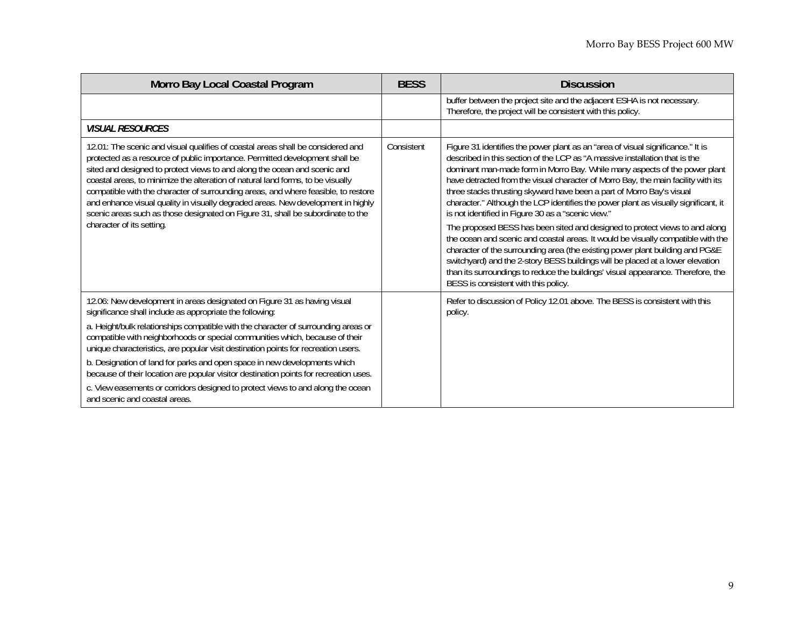| Morro Bay Local Coastal Program                                                                                                                                                                                                                                                                                                                                                                                                                                                                                                                                                                                           | <b>BESS</b> | <b>Discussion</b>                                                                                                                                                                                                                                                                                                                                                                                                                                                                                                                                                                                                                                                                                                                                                                                                                                                                                                                                                                                                         |
|---------------------------------------------------------------------------------------------------------------------------------------------------------------------------------------------------------------------------------------------------------------------------------------------------------------------------------------------------------------------------------------------------------------------------------------------------------------------------------------------------------------------------------------------------------------------------------------------------------------------------|-------------|---------------------------------------------------------------------------------------------------------------------------------------------------------------------------------------------------------------------------------------------------------------------------------------------------------------------------------------------------------------------------------------------------------------------------------------------------------------------------------------------------------------------------------------------------------------------------------------------------------------------------------------------------------------------------------------------------------------------------------------------------------------------------------------------------------------------------------------------------------------------------------------------------------------------------------------------------------------------------------------------------------------------------|
|                                                                                                                                                                                                                                                                                                                                                                                                                                                                                                                                                                                                                           |             | buffer between the project site and the adjacent ESHA is not necessary.<br>Therefore, the project will be consistent with this policy.                                                                                                                                                                                                                                                                                                                                                                                                                                                                                                                                                                                                                                                                                                                                                                                                                                                                                    |
| <b>VISUAL RESOURCES</b>                                                                                                                                                                                                                                                                                                                                                                                                                                                                                                                                                                                                   |             |                                                                                                                                                                                                                                                                                                                                                                                                                                                                                                                                                                                                                                                                                                                                                                                                                                                                                                                                                                                                                           |
| 12.01: The scenic and visual qualifies of coastal areas shall be considered and<br>protected as a resource of public importance. Permitted development shall be<br>sited and designed to protect views to and along the ocean and scenic and<br>coastal areas, to minimize the alteration of natural land forms, to be visually<br>compatible with the character of surrounding areas, and where feasible, to restore<br>and enhance visual quality in visually degraded areas. New development in highly<br>scenic areas such as those designated on Figure 31, shall be subordinate to the<br>character of its setting. | Consistent  | Figure 31 identifies the power plant as an "area of visual significance." It is<br>described in this section of the LCP as "A massive installation that is the<br>dominant man-made form in Morro Bay. While many aspects of the power plant<br>have detracted from the visual character of Morro Bay, the main facility with its<br>three stacks thrusting skyward have been a part of Morro Bay's visual<br>character." Although the LCP identifies the power plant as visually significant, it<br>is not identified in Figure 30 as a "scenic view."<br>The proposed BESS has been sited and designed to protect views to and along<br>the ocean and scenic and coastal areas. It would be visually compatible with the<br>character of the surrounding area (the existing power plant building and PG&E<br>switchyard) and the 2-story BESS buildings will be placed at a lower elevation<br>than its surroundings to reduce the buildings' visual appearance. Therefore, the<br>BESS is consistent with this policy. |
| 12.06: New development in areas designated on Figure 31 as having visual<br>significance shall include as appropriate the following:                                                                                                                                                                                                                                                                                                                                                                                                                                                                                      |             | Refer to discussion of Policy 12.01 above. The BESS is consistent with this<br>policy.                                                                                                                                                                                                                                                                                                                                                                                                                                                                                                                                                                                                                                                                                                                                                                                                                                                                                                                                    |
| a. Height/bulk relationships compatible with the character of surrounding areas or<br>compatible with neighborhoods or special communities which, because of their<br>unique characteristics, are popular visit destination points for recreation users.                                                                                                                                                                                                                                                                                                                                                                  |             |                                                                                                                                                                                                                                                                                                                                                                                                                                                                                                                                                                                                                                                                                                                                                                                                                                                                                                                                                                                                                           |
| b. Designation of land for parks and open space in new developments which<br>because of their location are popular visitor destination points for recreation uses.                                                                                                                                                                                                                                                                                                                                                                                                                                                        |             |                                                                                                                                                                                                                                                                                                                                                                                                                                                                                                                                                                                                                                                                                                                                                                                                                                                                                                                                                                                                                           |
| c. View easements or corridors designed to protect views to and along the ocean<br>and scenic and coastal areas.                                                                                                                                                                                                                                                                                                                                                                                                                                                                                                          |             |                                                                                                                                                                                                                                                                                                                                                                                                                                                                                                                                                                                                                                                                                                                                                                                                                                                                                                                                                                                                                           |